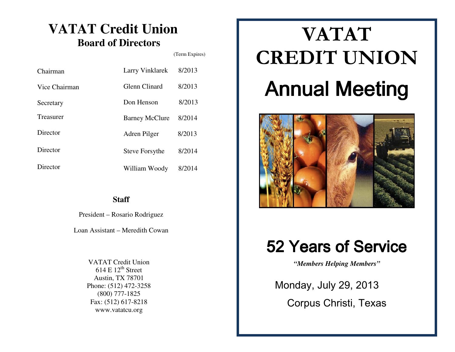## **VATAT Credit Union Board of Directors**

(Term Expires)

| Chairman      | Larry Vinklarek       | 8/2013 |
|---------------|-----------------------|--------|
| Vice Chairman | Glenn Clinard         | 8/2013 |
| Secretary     | Don Henson            | 8/2013 |
| Treasurer     | <b>Barney McClure</b> | 8/2014 |
| Director      | Adren Pilger          | 8/2013 |
| Director      | Steve Forsythe        | 8/2014 |
| Director      | William Woody         | 8/2014 |

**Staff** 

President – Rosario Rodriguez

Loan Assistant – Meredith Cowan

VATAT Credit Union  $614 \mathrm{E} 12^{\mathrm{th}}$  Street Austin, TX 78701 Phone: (512) 472-3258 (800) 777-1825 Fax: (512) 617-8218 www.vatatcu.org

## VATATCREDIT UNION Annual Meeting



## 52 Years of Service

*"Members Helping Members"* 

 Monday, July 29, 2013 Corpus Christi, Texas